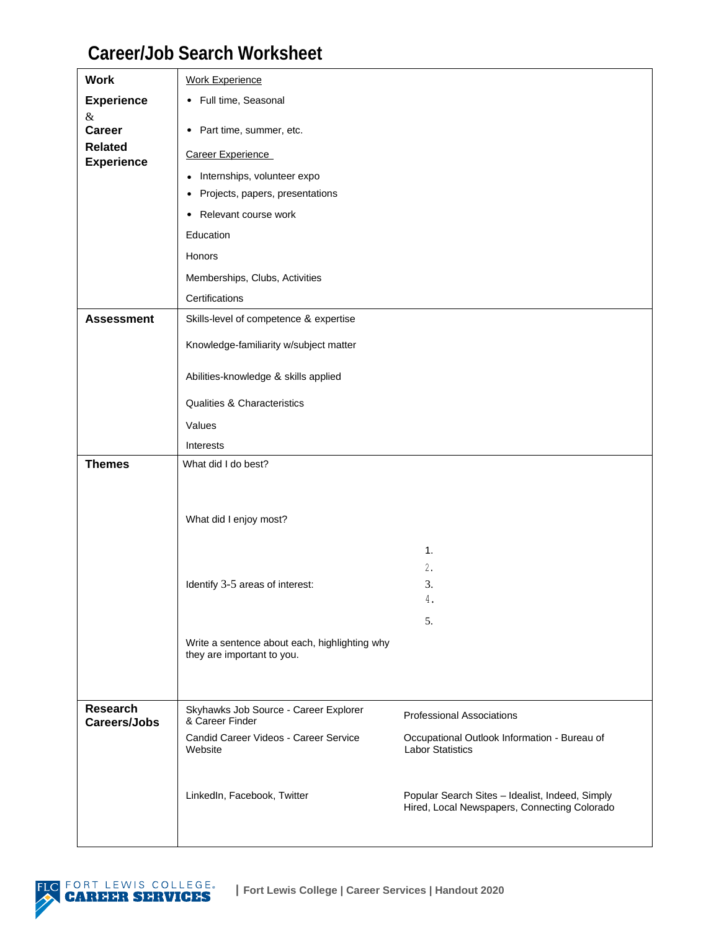## **Career/Job Search Worksheet**

| <b>Work</b>                         | <b>Work Experience</b>                                                      |                                                                                                 |
|-------------------------------------|-----------------------------------------------------------------------------|-------------------------------------------------------------------------------------------------|
| <b>Experience</b>                   | • Full time, Seasonal                                                       |                                                                                                 |
| &<br><b>Career</b>                  | Part time, summer, etc.<br>$\bullet$                                        |                                                                                                 |
| <b>Related</b><br><b>Experience</b> | Career Experience                                                           |                                                                                                 |
|                                     | Internships, volunteer expo<br>$\bullet$                                    |                                                                                                 |
|                                     | Projects, papers, presentations<br>٠                                        |                                                                                                 |
|                                     | Relevant course work<br>٠                                                   |                                                                                                 |
|                                     | Education                                                                   |                                                                                                 |
|                                     | Honors                                                                      |                                                                                                 |
|                                     | Memberships, Clubs, Activities                                              |                                                                                                 |
|                                     | Certifications                                                              |                                                                                                 |
| <b>Assessment</b>                   | Skills-level of competence & expertise                                      |                                                                                                 |
|                                     | Knowledge-familiarity w/subject matter                                      |                                                                                                 |
|                                     | Abilities-knowledge & skills applied                                        |                                                                                                 |
|                                     | <b>Qualities &amp; Characteristics</b>                                      |                                                                                                 |
|                                     | Values                                                                      |                                                                                                 |
|                                     | Interests                                                                   |                                                                                                 |
| <b>Themes</b>                       | What did I do best?                                                         |                                                                                                 |
|                                     |                                                                             |                                                                                                 |
|                                     |                                                                             |                                                                                                 |
|                                     | What did I enjoy most?                                                      |                                                                                                 |
|                                     |                                                                             | 1.                                                                                              |
|                                     |                                                                             | 2.                                                                                              |
|                                     | Identify 3-5 areas of interest:                                             | 3.<br>4.                                                                                        |
|                                     |                                                                             | 5.                                                                                              |
|                                     | Write a sentence about each, highlighting why<br>they are important to you. |                                                                                                 |
| <b>Research</b>                     | Skyhawks Job Source - Career Explorer                                       |                                                                                                 |
| <b>Careers/Jobs</b>                 | & Career Finder                                                             | <b>Professional Associations</b>                                                                |
|                                     | Candid Career Videos - Career Service<br>Website                            | Occupational Outlook Information - Bureau of<br><b>Labor Statistics</b>                         |
|                                     | LinkedIn, Facebook, Twitter                                                 | Popular Search Sites - Idealist, Indeed, Simply<br>Hired, Local Newspapers, Connecting Colorado |